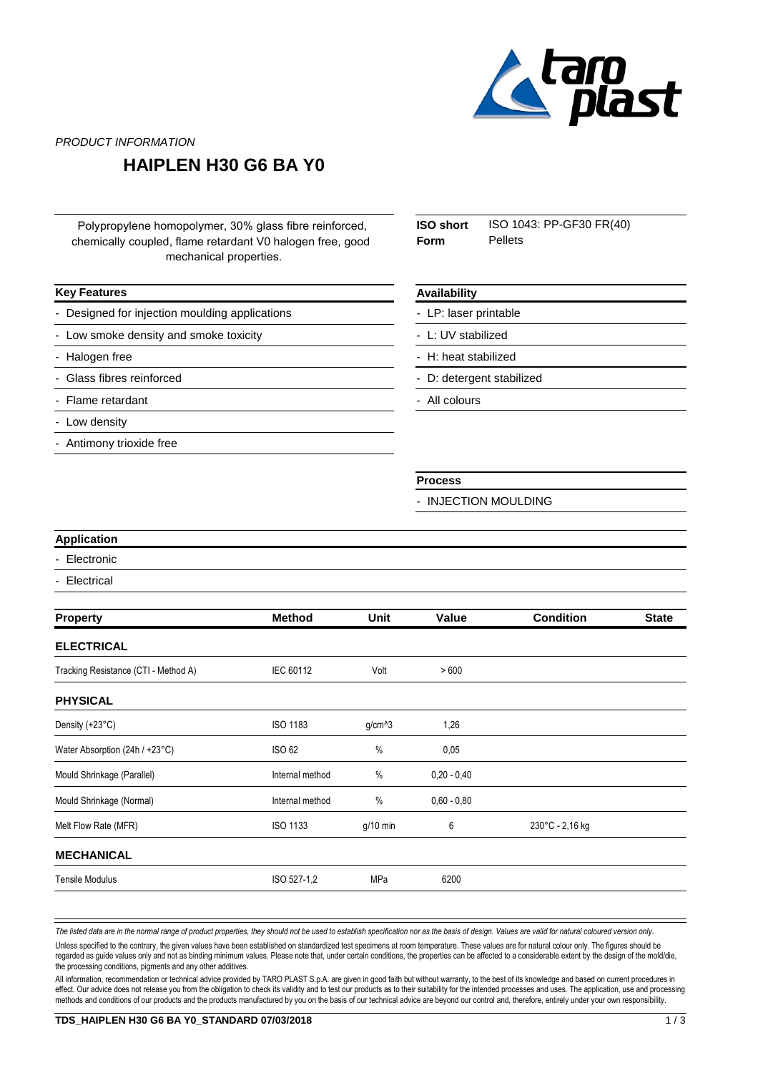

PRODUCT INFORMATION

### **HAIPLEN H30 G6 BA Y0**

Polypropylene homopolymer, 30% glass fibre reinforced, chemically coupled, flame retardant V0 halogen free, good mechanical properties.

#### **Key Features**

Designed for injection moulding applications

- Low smoke density and smoke toxicity
- Halogen free
- Glass fibres reinforced
- Flame retardant
- Low density
- Antimony trioxide free

| ISO short | ISO 1043: PP-GF30 FR(40) |
|-----------|--------------------------|
| Form      | Pellets                  |

#### **Availability**

LP: laser printable

- L: UV stabilized
- H: heat stabilized
- D: detergent stabilized
- All colours

#### **Process**

- INJECTION MOULDING

#### **Application**

- **Electronic**
- **Electrical**

| <b>Method</b>   | Unit       | Value         | <b>Condition</b> | <b>State</b> |
|-----------------|------------|---------------|------------------|--------------|
|                 |            |               |                  |              |
| IEC 60112       | Volt       | >600          |                  |              |
|                 |            |               |                  |              |
| <b>ISO 1183</b> | $g/cm^{3}$ | 1,26          |                  |              |
| ISO 62          | $\%$       | 0,05          |                  |              |
| Internal method | %          | $0,20 - 0,40$ |                  |              |
| Internal method | $\%$       | $0.60 - 0.80$ |                  |              |
| <b>ISO 1133</b> | $g/10$ min | 6             | 230°C - 2,16 kg  |              |
|                 |            |               |                  |              |
| ISO 527-1,2     | MPa        | 6200          |                  |              |
|                 |            |               |                  |              |

The listed data are in the normal range of product properties, they should not be used to establish specification nor as the basis of design. Values are valid for natural coloured version only.

Unless specified to the contrary, the given values have been established on standardized test specimens at room temperature. These values are for natural colour only. The figures should be regarded as guide values only and not as binding minimum values. Please note that, under certain conditions, the properties can be affected to a considerable extent by the design of the mold/die, the processing conditions, pigments and any other additives.

All information, recommendation or technical advice provided by TARO PLAST S.p.A. are given in good faith but without warranty, to the best of its knowledge and based on current procedures in effect. Our advice does not release you from the obligation to check its validity and to test our products as to their suitability for the intended processes and uses. The application, use and processing methods and conditions of our products and the products manufactured by you on the basis of our technical advice are beyond our control and, therefore, entirely under your own responsibility.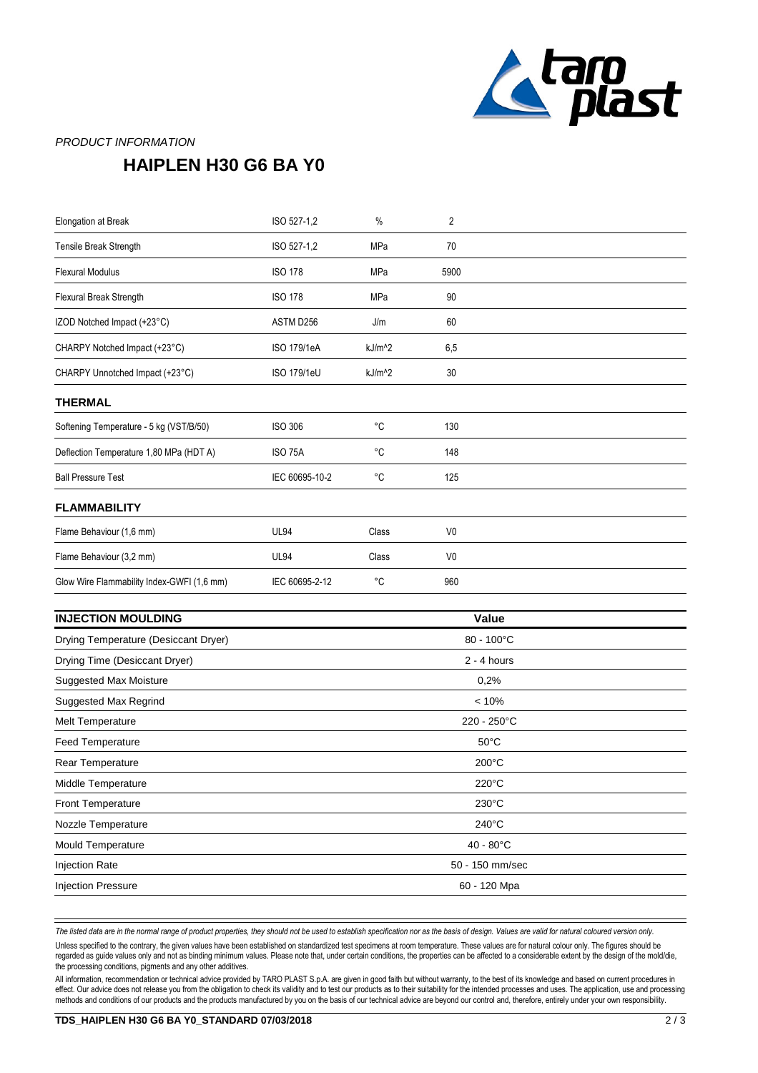

### PRODUCT INFORMATION

## **HAIPLEN H30 G6 BA Y0**

| <b>Elongation at Break</b>                 | ISO 527-1,2        | $\%$               | $\overline{2}$ |  |
|--------------------------------------------|--------------------|--------------------|----------------|--|
| Tensile Break Strength                     | ISO 527-1,2        | MPa                | 70             |  |
| <b>Flexural Modulus</b>                    | <b>ISO 178</b>     | MPa                | 5900           |  |
| Flexural Break Strength                    | <b>ISO 178</b>     | MPa                | 90             |  |
| IZOD Notched Impact (+23°C)                | ASTM D256          | J/m                | 60             |  |
| CHARPY Notched Impact (+23°C)              | <b>ISO 179/1eA</b> | $kJ/m^2$           | 6,5            |  |
| CHARPY Unnotched Impact (+23°C)            | ISO 179/1eU        | kJ/m <sup>^2</sup> | 30             |  |
| <b>THERMAL</b>                             |                    |                    |                |  |
| Softening Temperature - 5 kg (VST/B/50)    | <b>ISO 306</b>     | °C                 | 130            |  |
| Deflection Temperature 1,80 MPa (HDT A)    | <b>ISO 75A</b>     | °C                 | 148            |  |
| <b>Ball Pressure Test</b>                  | IEC 60695-10-2     | °C                 | 125            |  |
| <b>FLAMMABILITY</b>                        |                    |                    |                |  |
| Flame Behaviour (1,6 mm)                   | <b>UL94</b>        | Class              | V <sub>0</sub> |  |
| Flame Behaviour (3,2 mm)                   | <b>UL94</b>        | Class              | V <sub>0</sub> |  |
| Glow Wire Flammability Index-GWFI (1,6 mm) | IEC 60695-2-12     | °C                 | 960            |  |
|                                            |                    |                    |                |  |

| <b>INJECTION MOULDING</b>            | Value                 |  |
|--------------------------------------|-----------------------|--|
| Drying Temperature (Desiccant Dryer) | $80 - 100^{\circ}C$   |  |
| Drying Time (Desiccant Dryer)        | $2 - 4$ hours         |  |
| <b>Suggested Max Moisture</b>        | 0,2%                  |  |
| Suggested Max Regrind                | < 10%                 |  |
| <b>Melt Temperature</b>              | $220 - 250^{\circ}$ C |  |
| <b>Feed Temperature</b>              | $50^{\circ}$ C        |  |
| Rear Temperature                     | $200^{\circ}$ C       |  |
| Middle Temperature                   | $220^{\circ}$ C       |  |
| Front Temperature                    | $230^{\circ}$ C       |  |
| Nozzle Temperature                   | $240^{\circ}$ C       |  |
| Mould Temperature                    | $40 - 80^{\circ}$ C   |  |
| <b>Injection Rate</b>                | 50 - 150 mm/sec       |  |
| <b>Injection Pressure</b>            | 60 - 120 Mpa          |  |

The listed data are in the normal range of product properties, they should not be used to establish specification nor as the basis of design. Values are valid for natural coloured version only.

Unless specified to the contrary, the given values have been established on standardized test specimens at room temperature. These values are for natural colour only. The figures should be regarded as guide values only and not as binding minimum values. Please note that, under certain conditions, the properties can be affected to a considerable extent by the design of the mold/die, the processing conditions, pigments and any other additives.

All information, recommendation or technical advice provided by TARO PLAST S.p.A. are given in good faith but without warranty, to the best of its knowledge and based on current procedures in effect. Our advice does not release you from the obligation to check its validity and to test our products as to their suitability for the intended processes and uses. The application, use and processing methods and conditions of our products and the products manufactured by you on the basis of our technical advice are beyond our control and, therefore, entirely under your own responsibility.